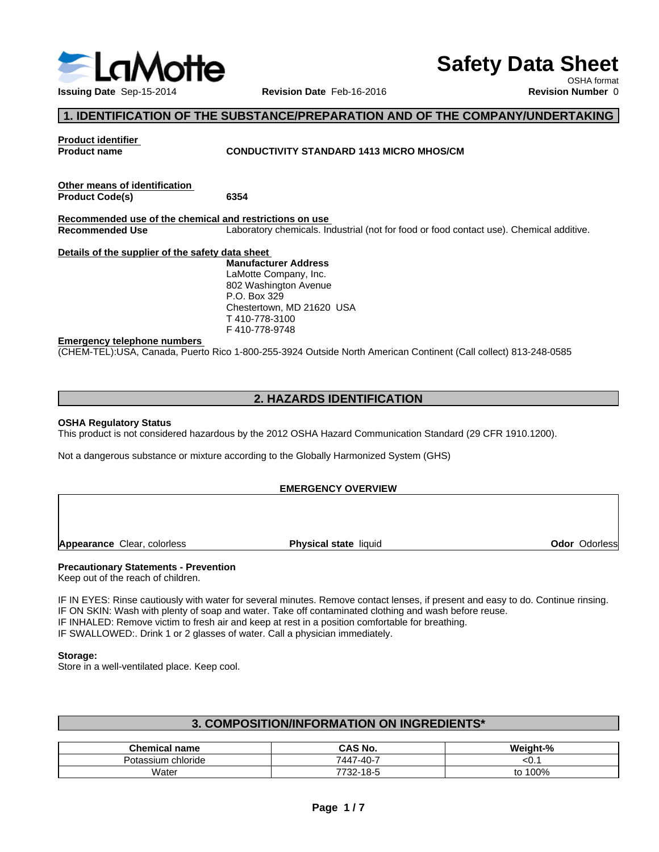

# **Safety Data Sheet**

OSHA format

# **1. IDENTIFICATION OF THE SUBSTANCE/PREPARATION AND OF THE COMPANY/UNDERTAKING**

**Product identifier**

**Product name CONDUCTIVITY STANDARD 1413 MICRO MHOS/CM**

**Other means of identification Product Code(s) 6354**

**Recommended use of the chemical and restrictions on use** Laboratory chemicals. Industrial (not for food or food contact use). Chemical additive.

**Details of the supplier of the safety data sheet**

**Manufacturer Address** LaMotte Company, Inc. 802 Washington Avenue P.O. Box 329 Chestertown, MD 21620 USA T 410-778-3100 F 410-778-9748

#### **Emergency telephone numbers**

(CHEM-TEL):USA, Canada, Puerto Rico 1-800-255-3924 Outside North American Continent (Call collect) 813-248-0585

# **2. HAZARDS IDENTIFICATION**

#### **OSHA Regulatory Status**

This product is not considered hazardous by the 2012 OSHA Hazard Communication Standard (29 CFR 1910.1200).

Not a dangerous substance or mixture according to the Globally Harmonized System (GHS)

## **EMERGENCY OVERVIEW**

**Appearance** Clear, colorless **Physical state** liquid

**Odor** Odorless

## **Precautionary Statements - Prevention**

Keep out of the reach of children.

IF IN EYES: Rinse cautiously with water for several minutes. Remove contact lenses, if present and easy to do. Continue rinsing. IF ON SKIN: Wash with plenty of soap and water. Take off contaminated clothing and wash before reuse. IF INHALED: Remove victim to fresh air and keep at rest in a position comfortable for breathing. IF SWALLOWED:. Drink 1 or 2 glasses of water. Call a physician immediately.

#### **Storage:**

Store in a well-ventilated place. Keep cool.

# **3. COMPOSITION/INFORMATION ON INGREDIENTS\***

| name<br>hemical<br>.        | CAS No.                  | --<br>л.<br>.              |
|-----------------------------|--------------------------|----------------------------|
| chloride<br>Potassium<br>wu | $( -40 -$<br>744.        | w.                         |
| Water                       | 10F<br>7700<br>O-0<br>ΩZ | $\sim$ $\sim$<br>100%<br>ື |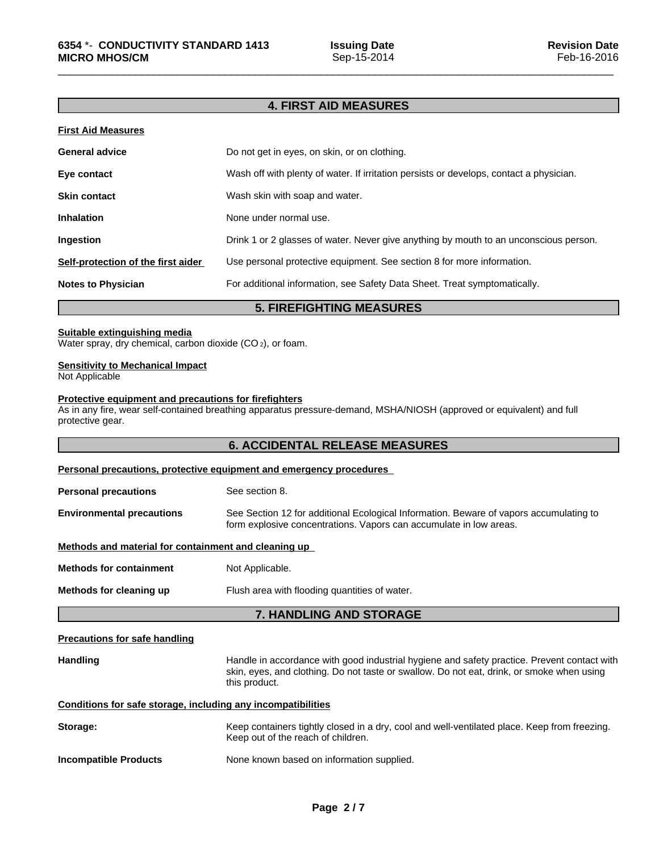# **4. FIRST AID MEASURES**

## **First Aid Measures**

| <b>General advice</b>              | Do not get in eyes, on skin, or on clothing.                                            |
|------------------------------------|-----------------------------------------------------------------------------------------|
| Eye contact                        | Wash off with plenty of water. If irritation persists or develops, contact a physician. |
| <b>Skin contact</b>                | Wash skin with soap and water.                                                          |
| <b>Inhalation</b>                  | None under normal use.                                                                  |
| Ingestion                          | Drink 1 or 2 glasses of water. Never give anything by mouth to an unconscious person.   |
| Self-protection of the first aider | Use personal protective equipment. See section 8 for more information.                  |
| <b>Notes to Physician</b>          | For additional information, see Safety Data Sheet. Treat symptomatically.               |

# **5. FIREFIGHTING MEASURES**

#### **Suitable extinguishing media**

Water spray, dry chemical, carbon dioxide (CO<sub>2</sub>), or foam.

#### **Sensitivity to Mechanical Impact**

Not Applicable

#### **Protective equipment and precautions for firefighters**

As in any fire, wear self-contained breathing apparatus pressure-demand, MSHA/NIOSH (approved or equivalent) and full protective gear.

## **6. ACCIDENTAL RELEASE MEASURES**

# **Personal precautions, protective equipment and emergency procedures Personal precautions** See section 8.

**Environmental precautions** See Section 12 for additional Ecological Information. Beware of vapors accumulating to form explosive concentrations. Vapors can accumulate in low areas.

#### **Methods and material for containment and cleaning up**

**Methods for containment** Not Applicable.

**Methods for cleaning up** Flush area with flooding quantities of water.

## **7. HANDLING AND STORAGE**

#### **Precautions for safe handling**

Handling **Handle in accordance with good industrial hygiene and safety practice. Prevent contact with and the same contact with** skin, eyes, and clothing. Do not taste or swallow. Do not eat, drink, or smoke when using this product.

## **Conditions for safe storage, including any incompatibilities**

| Storage:                     | Keep containers tightly closed in a dry, cool and well-ventilated place. Keep from freezing.<br>Keep out of the reach of children. |
|------------------------------|------------------------------------------------------------------------------------------------------------------------------------|
| <b>Incompatible Products</b> | None known based on information supplied.                                                                                          |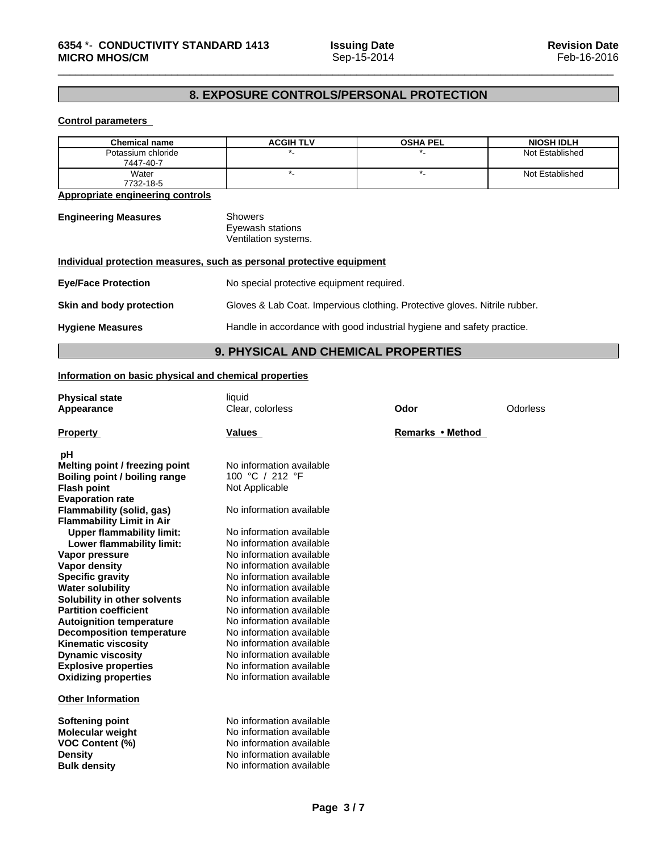# **8. EXPOSURE CONTROLS/PERSONAL PROTECTION**

## **Control parameters**

| <b>Chemical name</b>            | <b>ACGIH TLV</b> | <b>OSHA PEL</b> | <b>NIOSH IDLH</b> |
|---------------------------------|------------------|-----------------|-------------------|
| Potassium chloride<br>7447-40-7 |                  |                 | Not Established   |
| Water<br>7732-18-5              |                  |                 | Not Established   |

**Appropriate engineering controls**

**Engineering Measures** Showers Eyewash stations Ventilation systems.

| Individual protection measures, such as personal protective equipment |                                                                            |
|-----------------------------------------------------------------------|----------------------------------------------------------------------------|
| <b>Eye/Face Protection</b>                                            | No special protective equipment required.                                  |
| Skin and body protection                                              | Gloves & Lab Coat. Impervious clothing. Protective gloves. Nitrile rubber. |
| <b>Hygiene Measures</b>                                               | Handle in accordance with good industrial hygiene and safety practice.     |

**9. PHYSICAL AND CHEMICAL PROPERTIES**

## **Information on basic physical and chemical properties**

| <b>Physical state</b>                             | liquid                   |                  |                 |
|---------------------------------------------------|--------------------------|------------------|-----------------|
| Appearance                                        | Clear, colorless         | Odor             | <b>Odorless</b> |
|                                                   |                          |                  |                 |
| <b>Property</b>                                   | Values                   | Remarks • Method |                 |
| pH                                                |                          |                  |                 |
| Melting point / freezing point                    | No information available |                  |                 |
| <b>Boiling point / boiling range</b>              | 100 °C / 212 °F          |                  |                 |
| <b>Flash point</b>                                | Not Applicable           |                  |                 |
| <b>Evaporation rate</b>                           |                          |                  |                 |
| Flammability (solid, gas)                         | No information available |                  |                 |
| <b>Flammability Limit in Air</b>                  |                          |                  |                 |
| <b>Upper flammability limit:</b>                  | No information available |                  |                 |
| Lower flammability limit:                         | No information available |                  |                 |
| Vapor pressure                                    | No information available |                  |                 |
| <b>Vapor density</b>                              | No information available |                  |                 |
| <b>Specific gravity</b>                           | No information available |                  |                 |
| <b>Water solubility</b>                           | No information available |                  |                 |
| Solubility in other solvents                      | No information available |                  |                 |
| <b>Partition coefficient</b>                      | No information available |                  |                 |
| <b>Autoignition temperature</b>                   | No information available |                  |                 |
| <b>Decomposition temperature</b>                  | No information available |                  |                 |
| <b>Kinematic viscosity</b>                        | No information available |                  |                 |
| <b>Dynamic viscosity</b>                          | No information available |                  |                 |
| <b>Explosive properties</b>                       | No information available |                  |                 |
| <b>Oxidizing properties</b>                       | No information available |                  |                 |
| <b>Other Information</b>                          |                          |                  |                 |
|                                                   | No information available |                  |                 |
| Softening point                                   | No information available |                  |                 |
| <b>Molecular weight</b><br><b>VOC Content (%)</b> | No information available |                  |                 |
| <b>Density</b>                                    | No information available |                  |                 |
| <b>Bulk density</b>                               | No information available |                  |                 |
|                                                   |                          |                  |                 |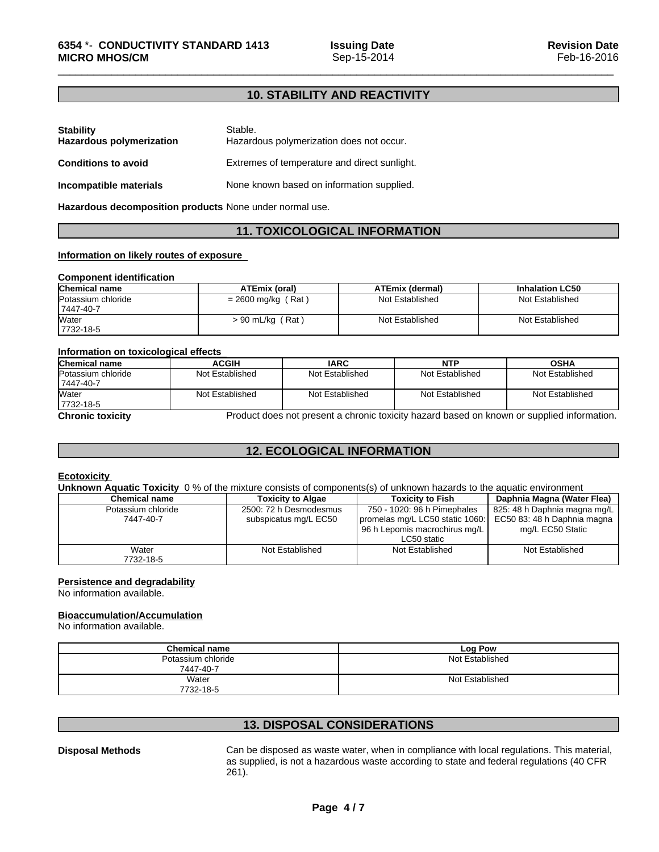# **10. STABILITY AND REACTIVITY**

| <b>Stability</b><br><b>Hazardous polymerization</b> | Stable.<br>Hazardous polymerization does not occur. |
|-----------------------------------------------------|-----------------------------------------------------|
| <b>Conditions to avoid</b>                          | Extremes of temperature and direct sunlight.        |
| Incompatible materials                              | None known based on information supplied.           |

**Hazardous decomposition products** None under normal use.

# **11. TOXICOLOGICAL INFORMATION**

## **Information on likely routes of exposure**

### **Component identification**

| <b>Chemical name</b> | ATEmix (oral)        | <b>ATEmix (dermal)</b> | <b>Inhalation LC50</b> |
|----------------------|----------------------|------------------------|------------------------|
| Potassium chloride   | $= 2600$ mg/kg (Rat) | Not Established        | Not Established        |
| 7447-40-7            |                      |                        |                        |
| <b>Water</b>         | $> 90$ mL/kg (Rat)   | Not Established        | Not Established        |
| 7732-18-5            |                      |                        |                        |

#### **Information on toxicological effects**

| <b>Chemical name</b>            | <b>ACGIH</b>    | <b>IARC</b>     | <b>NTP</b>      | <b>OSHA</b>     |
|---------------------------------|-----------------|-----------------|-----------------|-----------------|
| Potassium chloride<br>7447-40-7 | Not Established | Not Established | Not Established | Not Established |
| Water<br>7732-18-5              | Not Established | Not Established | Not Established | Not Established |

**Chronic toxicity Product does not present a chronic toxicity hazard based on known or supplied information.** 

# **12. ECOLOGICAL INFORMATION**

#### **Ecotoxicity**

**Unknown Aquatic Toxicity** 0 % of the mixture consists of components(s) of unknown hazards to the aquatic environment

| Chemical name      | <b>Toxicity to Algae</b> | Toxicity to Fish                | Daphnia Magna (Water Flea)   |
|--------------------|--------------------------|---------------------------------|------------------------------|
| Potassium chloride | 2500: 72 h Desmodesmus   | 750 - 1020: 96 h Pimephales     | 825: 48 h Daphnia magna mg/L |
| 7447-40-7          | subspicatus mg/L EC50    | promelas mg/L LC50 static 1060: | EC50 83: 48 h Daphnia magna  |
|                    |                          | 96 h Lepomis macrochirus mg/L   | mg/L EC50 Static             |
|                    |                          | LC50 static                     |                              |
| Water              | Not Established          | Not Established                 | Not Established              |
| 7732-18-5          |                          |                                 |                              |

## **Persistence and degradability**

No information available.

## **Bioaccumulation/Accumulation**

No information available.

| <b>Chemical name</b> | Log Pow         |
|----------------------|-----------------|
| Potassium chloride   | Not Established |
| 7447-40-7            |                 |
| Water                | Not Established |
| 7732-18-5            |                 |

# **13. DISPOSAL CONSIDERATIONS**

**Disposal Methods** Can be disposed as waste water, when in compliance with local regulations. This material, as supplied, is not a hazardous waste according to state and federal regulations (40 CFR 261).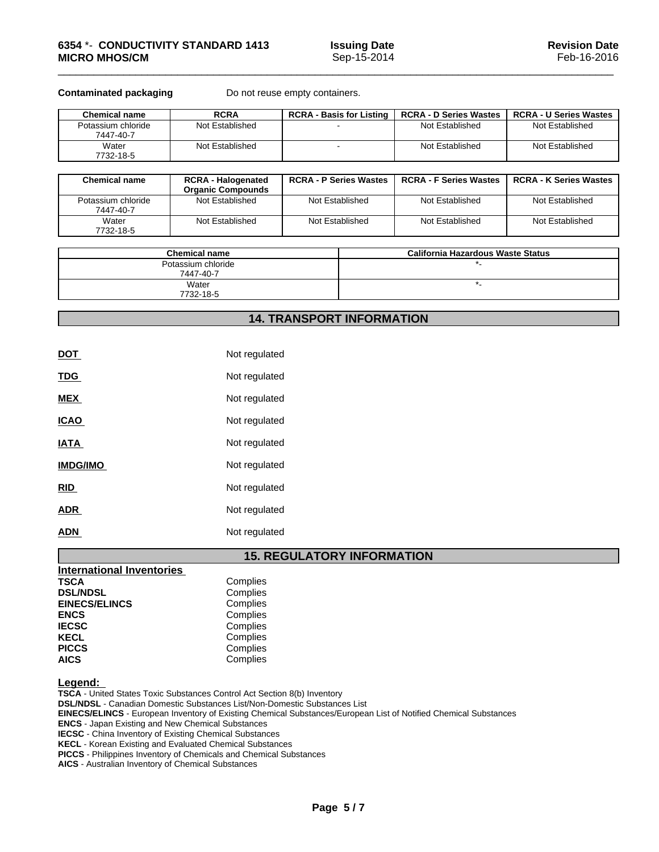**Contaminated packaging** Do not reuse empty containers.

| <b>Chemical name</b>            | <b>RCRA</b>     | <b>RCRA - Basis for Listing</b> | <b>RCRA - D Series Wastes</b> | <b>RCRA - U Series Wastes</b> |
|---------------------------------|-----------------|---------------------------------|-------------------------------|-------------------------------|
| Potassium chloride<br>7447-40-7 | Not Established |                                 | Not Established               | Not Established               |
| Water<br>7732-18-5              | Not Established |                                 | Not Established               | Not Established               |

| <b>Chemical name</b>            | <b>RCRA - Halogenated</b><br><b>Organic Compounds</b> | <b>RCRA - P Series Wastes</b> | <b>RCRA - F Series Wastes</b> | <b>RCRA - K Series Wastes</b> |
|---------------------------------|-------------------------------------------------------|-------------------------------|-------------------------------|-------------------------------|
| Potassium chloride<br>7447-40-7 | Not Established                                       | Not Established               | Not Established               | Not Established               |
| Water<br>7732-18-5              | Not Established                                       | Not Established               | Not Established               | Not Established               |

| <b>Chemical name</b>            | <b>California Hazardous Waste Status</b> |
|---------------------------------|------------------------------------------|
| Potassium chloride<br>7447-40-7 |                                          |
| Water<br>7732-18-5              |                                          |

# **14. TRANSPORT INFORMATION**

| <u>DOT</u>      | Not regulated |
|-----------------|---------------|
| <b>TDG</b>      | Not regulated |
| <b>MEX</b>      | Not regulated |
| <b>ICAO</b>     | Not regulated |
| <u>IATA</u>     | Not regulated |
| <b>IMDG/IMO</b> | Not regulated |
| <b>RID</b>      | Not regulated |
| <b>ADR</b>      | Not regulated |
| <b>ADN</b>      | Not regulated |

# **15. REGULATORY INFORMATION**

| <b>International Inventories</b> |          |
|----------------------------------|----------|
| <b>TSCA</b>                      | Complies |
| <b>DSL/NDSL</b>                  | Complies |
| <b>EINECS/ELINCS</b>             | Complies |
| <b>ENCS</b>                      | Complies |
| <b>IECSC</b>                     | Complies |
| <b>KECL</b>                      | Complies |
| <b>PICCS</b>                     | Complies |
| <b>AICS</b>                      | Complies |

**Legend:** 

**TSCA** - United States Toxic Substances Control Act Section 8(b) Inventory

**DSL/NDSL** - Canadian Domestic Substances List/Non-Domestic Substances List

**EINECS/ELINCS** - European Inventory of Existing Chemical Substances/European List of Notified Chemical Substances

**ENCS** - Japan Existing and New Chemical Substances

**IECSC** - China Inventory of Existing Chemical Substances

**KECL** - Korean Existing and Evaluated Chemical Substances

**PICCS** - Philippines Inventory of Chemicals and Chemical Substances

**AICS** - Australian Inventory of Chemical Substances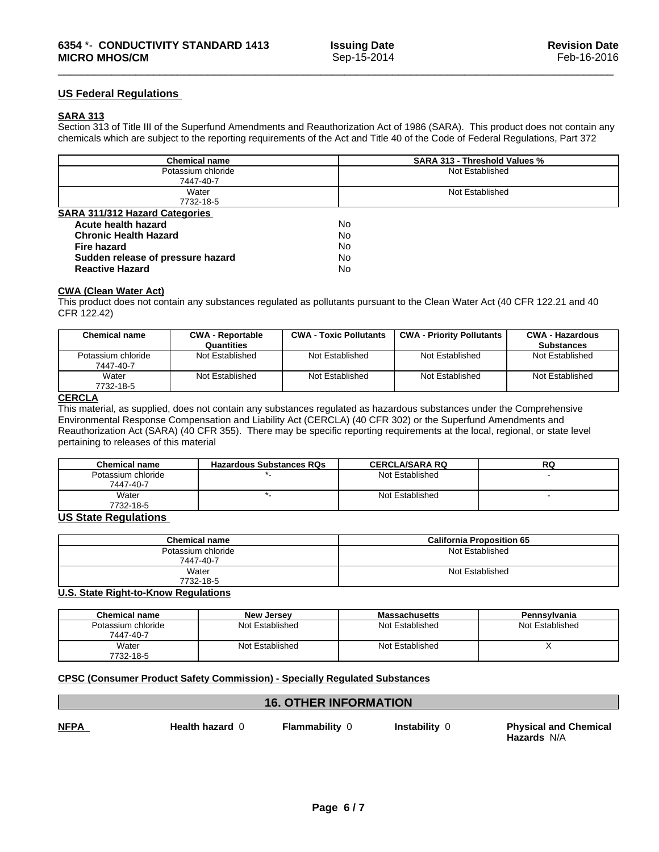## **US Federal Regulations**

## **SARA 313**

Section 313 of Title III of the Superfund Amendments and Reauthorization Act of 1986 (SARA). This product does not contain any chemicals which are subject to the reporting requirements of the Act and Title 40 of the Code of Federal Regulations, Part 372

| <b>Chemical name</b>                  | <b>SARA 313 - Threshold Values %</b> |  |
|---------------------------------------|--------------------------------------|--|
| Potassium chloride                    | Not Established                      |  |
| 7447-40-7                             |                                      |  |
| Water                                 | Not Established                      |  |
| 7732-18-5                             |                                      |  |
| <b>SARA 311/312 Hazard Categories</b> |                                      |  |
| Acute health hazard                   | No.                                  |  |
| <b>Chronic Health Hazard</b>          | No.                                  |  |
| <b>Fire hazard</b>                    | No                                   |  |
| Sudden release of pressure hazard     | No                                   |  |
| <b>Reactive Hazard</b>                | No                                   |  |

#### **CWA** (Clean Water Act)

This product does not contain any substances regulated as pollutants pursuant to the Clean Water Act (40 CFR 122.21 and 40 CFR 122.42)

| <b>Chemical name</b>            | <b>CWA - Reportable</b><br>Quantities | <b>CWA - Toxic Pollutants</b> | <b>CWA - Priority Pollutants</b> | <b>CWA - Hazardous</b><br><b>Substances</b> |
|---------------------------------|---------------------------------------|-------------------------------|----------------------------------|---------------------------------------------|
| Potassium chloride<br>7447-40-7 | Not Established                       | Not Established               | Not Established                  | Not Established                             |
| Water<br>7732-18-5              | Not Established                       | Not Established               | Not Established                  | Not Established                             |

# **CERCLA**

This material, as supplied, does not contain any substances regulated as hazardous substances under the Comprehensive Environmental Response Compensation and Liability Act (CERCLA) (40 CFR 302) or the Superfund Amendments and Reauthorization Act (SARA) (40 CFR 355). There may be specific reporting requirements at the local, regional, or state level pertaining to releases of this material

| <b>Chemical name</b>            | <b>Hazardous Substances RQs</b> | <b>CERCLA/SARA RQ</b> | RG |
|---------------------------------|---------------------------------|-----------------------|----|
| Potassium chloride<br>7447-40-7 |                                 | Not Established       |    |
| Water<br>7732-18-5              |                                 | Not Established       |    |

## **US State Regulations**

| <b>Chemical name</b> | <b>California Proposition 65</b> |
|----------------------|----------------------------------|
| Potassium chloride   | Not Established                  |
| 7447-40-7            |                                  |
| Water                | Not Established                  |
| 7732-18-5            |                                  |

## **U.S. State Right-to-Know Regulations**

| Chemical name                   | <b>New Jersey</b> | <b>Massachusetts</b> | Pennsylvania    |
|---------------------------------|-------------------|----------------------|-----------------|
| Potassium chloride<br>7447-40-7 | Not Established   | Not Established      | Not Established |
| Water<br>7732-18-5              | Not Established   | Not Established      |                 |

## **CPSC (Consumer Product Safety Commission) - Specially Regulated Substances**

## **16. OTHER INFORMATION**

**NFPA Health hazard** 0**Flammability** 0 **Instability** 0 **Physical and Chemical Hazards** N/A